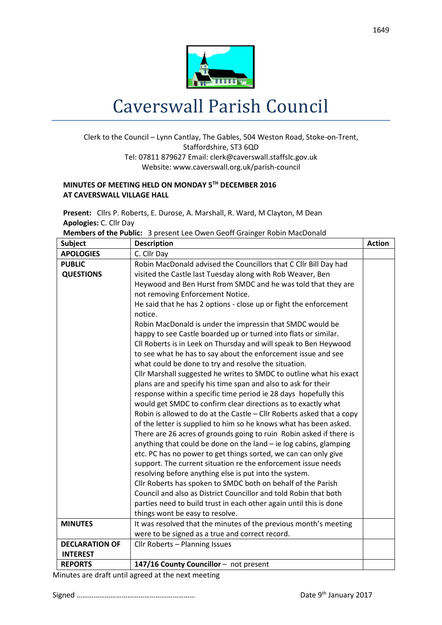

## Caverswall Parish Council

## Clerk to the Council – Lynn Cantlay, The Gables, 504 Weston Road, Stoke-on-Trent, Staffordshire, ST3 6QD Tel: 07811 879627 Email: [clerk@caverswall.staffslc.gov.uk](mailto:clerk@caverswall.staffslc.gov.uk) Website: www.caverswall.org.uk/parish-council

## **MINUTES OF MEETING HELD ON MONDAY 5 TH DECEMBER 2016 AT CAVERSWALL VILLAGE HALL**

**Present:** Cllrs P. Roberts, E. Durose, A. Marshall, R. Ward, M Clayton, M Dean **Apologies:** C. Cllr Day

**Members of the Public:** 3 present Lee Owen Geoff Grainger Robin MacDonald

| <b>Subject</b>        | <b>Description</b>                                                    | <b>Action</b> |
|-----------------------|-----------------------------------------------------------------------|---------------|
| <b>APOLOGIES</b>      | C. Cllr Day                                                           |               |
| <b>PUBLIC</b>         | Robin MacDonald advised the Councillors that C Cllr Bill Day had      |               |
| <b>QUESTIONS</b>      | visited the Castle last Tuesday along with Rob Weaver, Ben            |               |
|                       | Heywood and Ben Hurst from SMDC and he was told that they are         |               |
|                       | not removing Enforcement Notice.                                      |               |
|                       | He said that he has 2 options - close up or fight the enforcement     |               |
|                       | notice.                                                               |               |
|                       | Robin MacDonald is under the impressin that SMDC would be             |               |
|                       | happy to see Castle boarded up or turned into flats or similar.       |               |
|                       | Cll Roberts is in Leek on Thursday and will speak to Ben Heywood      |               |
|                       | to see what he has to say about the enforcement issue and see         |               |
|                       | what could be done to try and resolve the situation.                  |               |
|                       | Cllr Marshall suggested he writes to SMDC to outline what his exact   |               |
|                       | plans are and specify his time span and also to ask for their         |               |
|                       | response within a specific time period ie 28 days hopefully this      |               |
|                       | would get SMDC to confirm clear directions as to exactly what         |               |
|                       | Robin is allowed to do at the Castle - Cllr Roberts asked that a copy |               |
|                       | of the letter is supplied to him so he knows what has been asked.     |               |
|                       | There are 26 acres of grounds going to ruin Robin asked if there is   |               |
|                       | anything that could be done on the land - ie log cabins, glamping     |               |
|                       | etc. PC has no power to get things sorted, we can can only give       |               |
|                       | support. The current situation re the enforcement issue needs         |               |
|                       | resolving before anything else is put into the system.                |               |
|                       | Cllr Roberts has spoken to SMDC both on behalf of the Parish          |               |
|                       | Council and also as District Councillor and told Robin that both      |               |
|                       | parties need to build trust in each other again until this is done    |               |
|                       | things wont be easy to resolve.                                       |               |
| <b>MINUTES</b>        | It was resolved that the minutes of the previous month's meeting      |               |
|                       | were to be signed as a true and correct record.                       |               |
| <b>DECLARATION OF</b> | Cllr Roberts - Planning Issues                                        |               |
| <b>INTEREST</b>       |                                                                       |               |
| <b>REPORTS</b>        | 147/16 County Councillor - not present                                |               |

Minutes are draft until agreed at the next meeting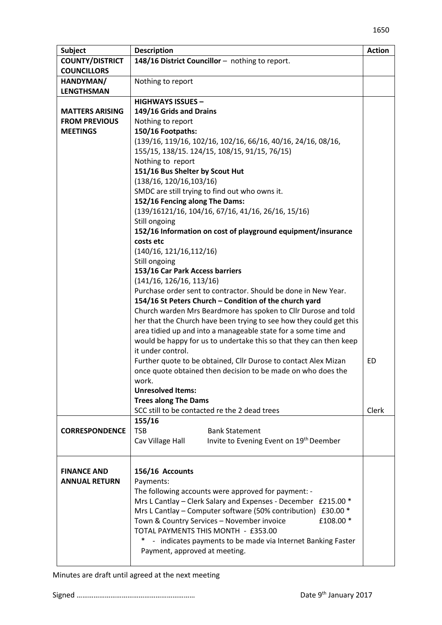| <b>Subject</b>         | <b>Description</b>                                                                                                       | <b>Action</b> |
|------------------------|--------------------------------------------------------------------------------------------------------------------------|---------------|
| <b>COUNTY/DISTRICT</b> | 148/16 District Councillor - nothing to report.                                                                          |               |
| <b>COUNCILLORS</b>     |                                                                                                                          |               |
| HANDYMAN/              | Nothing to report                                                                                                        |               |
| <b>LENGTHSMAN</b>      |                                                                                                                          |               |
|                        | <b>HIGHWAYS ISSUES -</b>                                                                                                 |               |
| <b>MATTERS ARISING</b> | 149/16 Grids and Drains                                                                                                  |               |
| <b>FROM PREVIOUS</b>   | Nothing to report                                                                                                        |               |
| <b>MEETINGS</b>        | 150/16 Footpaths:                                                                                                        |               |
|                        | (139/16, 119/16, 102/16, 102/16, 66/16, 40/16, 24/16, 08/16,                                                             |               |
|                        | 155/15, 138/15. 124/15, 108/15, 91/15, 76/15)                                                                            |               |
|                        | Nothing to report                                                                                                        |               |
|                        | 151/16 Bus Shelter by Scout Hut                                                                                          |               |
|                        | (138/16, 120/16, 103/16)                                                                                                 |               |
|                        | SMDC are still trying to find out who owns it.                                                                           |               |
|                        | 152/16 Fencing along The Dams:                                                                                           |               |
|                        | $(139/16121/16, 104/16, 67/16, 41/16, 26/16, 15/16)$                                                                     |               |
|                        | Still ongoing                                                                                                            |               |
|                        | 152/16 Information on cost of playground equipment/insurance                                                             |               |
|                        | costs etc                                                                                                                |               |
|                        | (140/16, 121/16, 112/16)                                                                                                 |               |
|                        | Still ongoing                                                                                                            |               |
|                        | 153/16 Car Park Access barriers                                                                                          |               |
|                        | (141/16, 126/16, 113/16)                                                                                                 |               |
|                        | Purchase order sent to contractor. Should be done in New Year.<br>154/16 St Peters Church - Condition of the church yard |               |
|                        | Church warden Mrs Beardmore has spoken to Cllr Durose and told                                                           |               |
|                        | her that the Church have been trying to see how they could get this                                                      |               |
|                        | area tidied up and into a manageable state for a some time and                                                           |               |
|                        | would be happy for us to undertake this so that they can then keep                                                       |               |
|                        | it under control.                                                                                                        |               |
|                        | Further quote to be obtained, Cllr Durose to contact Alex Mizan                                                          | ED            |
|                        | once quote obtained then decision to be made on who does the                                                             |               |
|                        | work.                                                                                                                    |               |
|                        | <b>Unresolved Items:</b>                                                                                                 |               |
|                        | <b>Trees along The Dams</b>                                                                                              |               |
|                        | SCC still to be contacted re the 2 dead trees                                                                            | Clerk         |
|                        | 155/16                                                                                                                   |               |
| <b>CORRESPONDENCE</b>  | <b>TSB</b><br><b>Bank Statement</b>                                                                                      |               |
|                        | Invite to Evening Event on 19th Deember<br>Cav Village Hall                                                              |               |
|                        |                                                                                                                          |               |
|                        |                                                                                                                          |               |
| <b>FINANCE AND</b>     | 156/16 Accounts                                                                                                          |               |
| <b>ANNUAL RETURN</b>   | Payments:                                                                                                                |               |
|                        | The following accounts were approved for payment: -                                                                      |               |
|                        | Mrs L Cantlay - Clerk Salary and Expenses - December £215.00 *                                                           |               |
|                        | Mrs L Cantlay – Computer software (50% contribution) £30.00 *                                                            |               |
|                        | £108.00 *<br>Town & Country Services - November invoice                                                                  |               |
|                        | TOTAL PAYMENTS THIS MONTH - £353.00                                                                                      |               |
|                        | *,<br>- indicates payments to be made via Internet Banking Faster                                                        |               |
|                        | Payment, approved at meeting.                                                                                            |               |
|                        |                                                                                                                          |               |

Minutes are draft until agreed at the next meeting